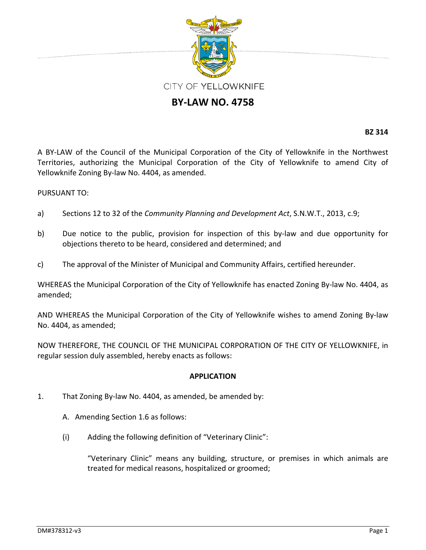

## **BY‐LAW NO. 4758**

**BZ 314**

A BY‐LAW of the Council of the Municipal Corporation of the City of Yellowknife in the Northwest Territories, authorizing the Municipal Corporation of the City of Yellowknife to amend City of Yellowknife Zoning By‐law No. 4404, as amended.

## PURSUANT TO:

- a) Sections 12 to 32 of the *Community Planning and Development Act*, S.N.W.T., 2013, c.9;
- b) Due notice to the public, provision for inspection of this by-law and due opportunity for objections thereto to be heard, considered and determined; and
- c) The approval of the Minister of Municipal and Community Affairs, certified hereunder.

WHEREAS the Municipal Corporation of the City of Yellowknife has enacted Zoning By-law No. 4404, as amended;

AND WHEREAS the Municipal Corporation of the City of Yellowknife wishes to amend Zoning By‐law No. 4404, as amended;

NOW THEREFORE, THE COUNCIL OF THE MUNICIPAL CORPORATION OF THE CITY OF YELLOWKNIFE, in regular session duly assembled, hereby enacts as follows:

## **APPLICATION**

- 1. That Zoning By‐law No. 4404, as amended, be amended by:
	- A. Amending Section 1.6 as follows:
	- (i) Adding the following definition of "Veterinary Clinic":

"Veterinary Clinic" means any building, structure, or premises in which animals are treated for medical reasons, hospitalized or groomed;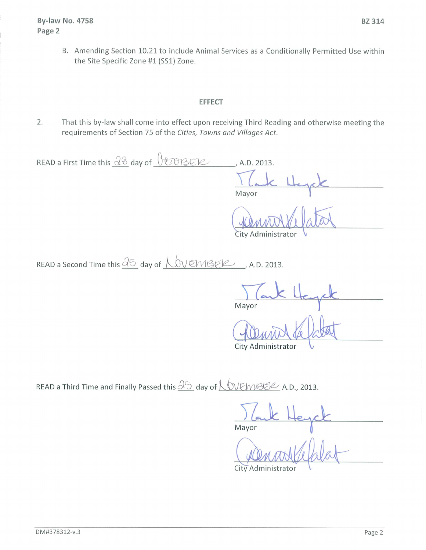B. Amending Section 10.21 to include Animal Services as a Conditionally Permitted Use within the Site Specific Zone #1 (SS1) Zone.

## **EFFECT**

 $2.$ That this by-law shall come into effect upon receiving Third Reading and otherwise meeting the requirements of Section 75 of the Cities, Towns and Villages Act.

READ a First Time this  $\frac{28}{9}$  day of  $\sqrt{07935}$ , A.D. 2013. Mayor

City Administrator

READ a Second Time this  $\frac{\partial \mathfrak{S}}{\partial \mathfrak{S}}$  day of  $\bigwedge \mathfrak{O} \vee \mathfrak{S} \wedge \mathfrak{S} \in \mathcal{C}$  A.D. 2013.

Mayor

City Administrator

READ a Third Time and Finally Passed this  $\underline{\partial}$  day of  $\underline{\bigwedge}$  VEMBER A.D., 2013.

Mayor